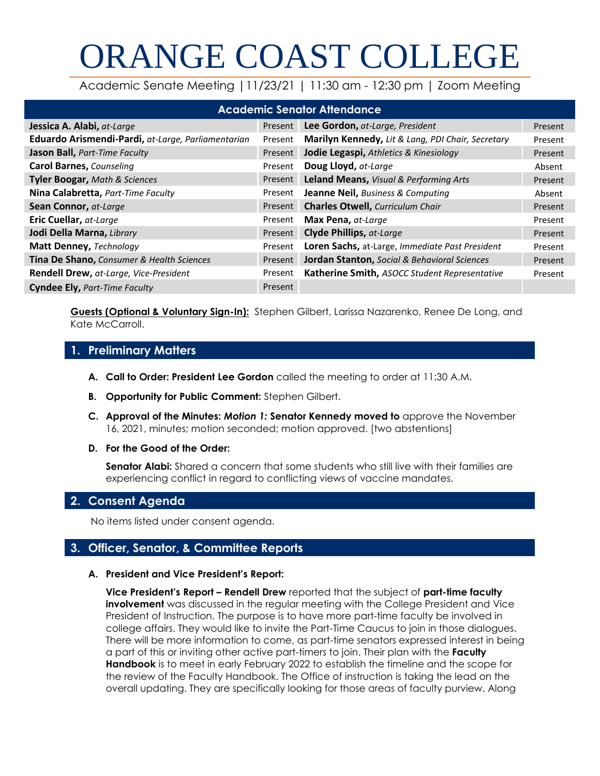# ORANGE COAST COLLEGE

Academic Senate Meeting |11/23/21 | 11:30 am - 12:30 pm | Zoom Meeting

| <b>Academic Senator Attendance</b>                 |         |                                                   |         |  |  |
|----------------------------------------------------|---------|---------------------------------------------------|---------|--|--|
| Jessica A. Alabi, at-Large                         | Present | Lee Gordon, at-Large, President                   | Present |  |  |
| Eduardo Arismendi-Pardi, at-Large, Parliamentarian | Present | Marilyn Kennedy, Lit & Lang, PDI Chair, Secretary | Present |  |  |
| Jason Ball, Part-Time Faculty                      | Present | Jodie Legaspi, Athletics & Kinesiology            | Present |  |  |
| <b>Carol Barnes, Counseling</b>                    | Present | Doug Lloyd, at-Large                              | Absent  |  |  |
| Tyler Boogar, Math & Sciences                      | Present | Leland Means, Visual & Performing Arts            | Present |  |  |
| Nina Calabretta, Part-Time Faculty                 | Present | <b>Jeanne Neil, Business &amp; Computing</b>      | Absent  |  |  |
| Sean Connor, at-Large                              | Present | <b>Charles Otwell, Curriculum Chair</b>           | Present |  |  |
| <b>Eric Cuellar, at-Large</b>                      | Present | Max Pena, at-Large                                | Present |  |  |
| Jodi Della Marna, Library                          | Present | Clyde Phillips, at-Large                          | Present |  |  |
| Matt Denney, Technology                            | Present | Loren Sachs, at-Large, Immediate Past President   | Present |  |  |
| Tina De Shano, Consumer & Health Sciences          | Present | Jordan Stanton, Social & Behavioral Sciences      | Present |  |  |
| Rendell Drew, at-Large, Vice-President             | Present | Katherine Smith, ASOCC Student Representative     | Present |  |  |
| <b>Cyndee Ely, Part-Time Faculty</b>               | Present |                                                   |         |  |  |

**Guests (Optional & Voluntary Sign-In):** Stephen Gilbert, Larissa Nazarenko, Renee De Long, and Kate McCarroll.

# **1. Preliminary Matters**

- **A. Call to Order: President Lee Gordon** called the meeting to order at 11:30 A.M.
- **B. Opportunity for Public Comment:** Stephen Gilbert.
- **C. Approval of the Minutes:** *Motion 1:* **Senator Kennedy moved to** approve the November 16, 2021, minutes; motion seconded; motion approved. [two abstentions]
- **D. For the Good of the Order:**

**Senator Alabi:** Shared a concern that some students who still live with their families are experiencing conflict in regard to conflicting views of vaccine mandates.

# **2. Consent Agenda**

No items listed under consent agenda.

# **3. Officer, Senator, & Committee Reports**

# **A. President and Vice President's Report:**

**Vice President's Report – Rendell Drew** reported that the subject of **part-time faculty involvement** was discussed in the regular meeting with the College President and Vice President of Instruction. The purpose is to have more part-time faculty be involved in college affairs. They would like to invite the Part-Time Caucus to join in those dialogues. There will be more information to come, as part-time senators expressed interest in being a part of this or inviting other active part-timers to join. Their plan with the **Faculty Handbook** is to meet in early February 2022 to establish the timeline and the scope for the review of the Faculty Handbook. The Office of instruction is taking the lead on the overall updating. They are specifically looking for those areas of faculty purview. Along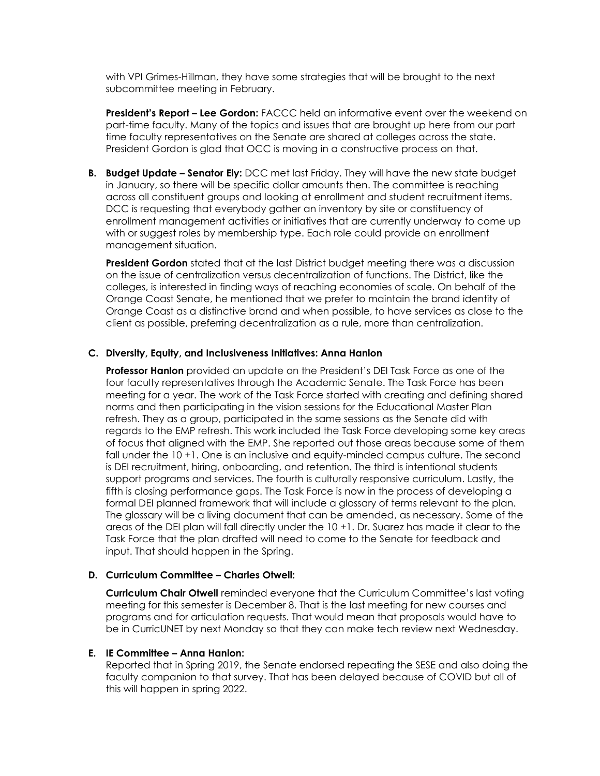with VPI Grimes-Hillman, they have some strategies that will be brought to the next subcommittee meeting in February.

**President's Report – Lee Gordon:** FACCC held an informative event over the weekend on part-time faculty. Many of the topics and issues that are brought up here from our part time faculty representatives on the Senate are shared at colleges across the state. President Gordon is glad that OCC is moving in a constructive process on that.

**B. Budget Update – Senator Ely:** DCC met last Friday. They will have the new state budget in January, so there will be specific dollar amounts then. The committee is reaching across all constituent groups and looking at enrollment and student recruitment items. DCC is requesting that everybody gather an inventory by site or constituency of enrollment management activities or initiatives that are currently underway to come up with or suggest roles by membership type. Each role could provide an enrollment management situation.

**President Gordon** stated that at the last District budget meeting there was a discussion on the issue of centralization versus decentralization of functions. The District, like the colleges, is interested in finding ways of reaching economies of scale. On behalf of the Orange Coast Senate, he mentioned that we prefer to maintain the brand identity of Orange Coast as a distinctive brand and when possible, to have services as close to the client as possible, preferring decentralization as a rule, more than centralization.

### **C. Diversity, Equity, and Inclusiveness Initiatives: Anna Hanlon**

**Professor Hanlon** provided an update on the President's DEI Task Force as one of the four faculty representatives through the Academic Senate. The Task Force has been meeting for a year. The work of the Task Force started with creating and defining shared norms and then participating in the vision sessions for the Educational Master Plan refresh. They as a group, participated in the same sessions as the Senate did with regards to the EMP refresh. This work included the Task Force developing some key areas of focus that aligned with the EMP. She reported out those areas because some of them fall under the 10 +1. One is an inclusive and equity-minded campus culture. The second is DEI recruitment, hiring, onboarding, and retention. The third is intentional students support programs and services. The fourth is culturally responsive curriculum. Lastly, the fifth is closing performance gaps. The Task Force is now in the process of developing a formal DEI planned framework that will include a glossary of terms relevant to the plan. The glossary will be a living document that can be amended, as necessary. Some of the areas of the DEI plan will fall directly under the 10 +1. Dr. Suarez has made it clear to the Task Force that the plan drafted will need to come to the Senate for feedback and input. That should happen in the Spring.

#### **D. Curriculum Committee – Charles Otwell:**

**Curriculum Chair Otwell** reminded everyone that the Curriculum Committee's last voting meeting for this semester is December 8. That is the last meeting for new courses and programs and for articulation requests. That would mean that proposals would have to be in CurricUNET by next Monday so that they can make tech review next Wednesday.

## **E. IE Committee – Anna Hanlon:**

Reported that in Spring 2019, the Senate endorsed repeating the SESE and also doing the faculty companion to that survey. That has been delayed because of COVID but all of this will happen in spring 2022.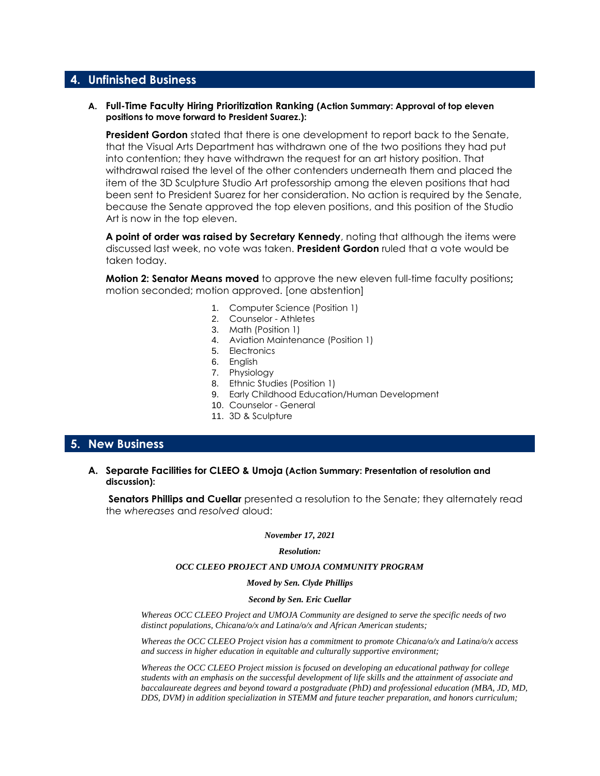# **4. Unfinished Business**

#### **A. Full-Time Faculty Hiring Prioritization Ranking (Action Summary: Approval of top eleven positions to move forward to President Suarez.):**

**President Gordon** stated that there is one development to report back to the Senate, that the Visual Arts Department has withdrawn one of the two positions they had put into contention; they have withdrawn the request for an art history position. That withdrawal raised the level of the other contenders underneath them and placed the item of the 3D Sculpture Studio Art professorship among the eleven positions that had been sent to President Suarez for her consideration. No action is required by the Senate, because the Senate approved the top eleven positions, and this position of the Studio Art is now in the top eleven.

**A point of order was raised by Secretary Kennedy**, noting that although the items were discussed last week, no vote was taken. **President Gordon** ruled that a vote would be taken today.

**Motion 2: Senator Means moved** to approve the new eleven full-time faculty positions**;** motion seconded; motion approved. [one abstention]

- 1. Computer Science (Position 1)
- 2. Counselor Athletes
- 3. Math (Position 1)
- 4. Aviation Maintenance (Position 1)
- 5. Electronics
- 6. English
- 7. Physiology
- 8. Ethnic Studies (Position 1)
- 9. Early Childhood Education/Human Development
- 10. Counselor General
- 11. 3D & Sculpture

# **5. New Business**

#### **A. Separate Facilities for CLEEO & Umoja (Action Summary: Presentation of resolution and discussion):**

**Senators Phillips and Cuellar** presented a resolution to the Senate; they alternately read the *whereases* and *resolved* aloud:

#### *November 17, 2021*

#### *Resolution:*

#### *OCC CLEEO PROJECT AND UMOJA COMMUNITY PROGRAM*

*Moved by Sen. Clyde Phillips*

#### *Second by Sen. Eric Cuellar*

*Whereas OCC CLEEO Project and UMOJA Community are designed to serve the specific needs of two distinct populations, Chicana/o/x and Latina/o/x and African American students;*

*Whereas the OCC CLEEO Project vision has a commitment to promote Chicana/o/x and Latina/o/x access and success in higher education in equitable and culturally supportive environment;*

*Whereas the OCC CLEEO Project mission is focused on developing an educational pathway for college* students with an emphasis on the successful development of life skills and the attainment of associate and *baccalaureate degrees and beyond toward a postgraduate (PhD) and professional education (MBA, JD, MD, DDS, DVM) in addition specialization in STEMM and future teacher preparation, and honors curriculum;*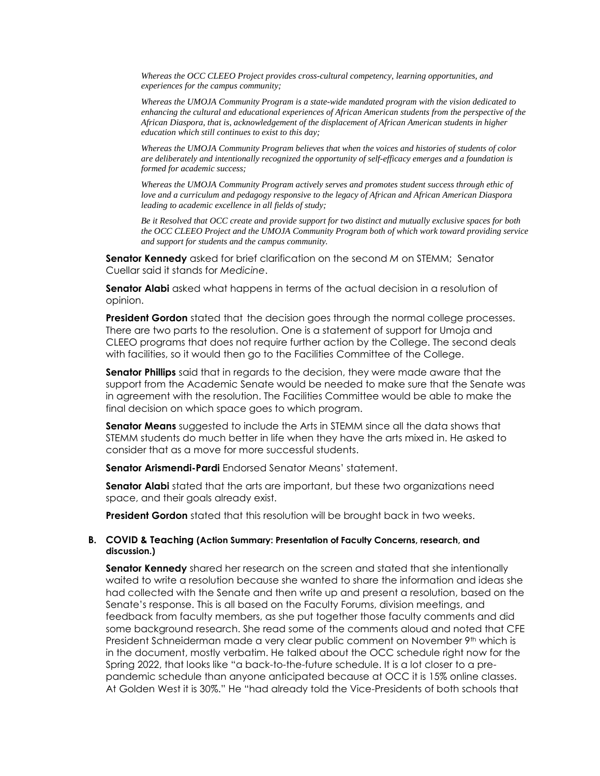*Whereas the OCC CLEEO Project provides cross-cultural competency, learning opportunities, and experiences for the campus community;*

*Whereas the UMOJA Community Program is a state-wide mandated program with the vision dedicated to enhancing the cultural and educational experiences of African American students from the perspective of the African Diaspora, that is, acknowledgement of the displacement of African American students in higher education which still continues to exist to this day;*

*Whereas the UMOJA Community Program believes that when the voices and histories of students of color are deliberately and intentionally recognized the opportunity of self-efficacy emerges and a foundation is formed for academic success;*

*Whereas the UMOJA Community Program actively serves and promotes student success through ethic of love and a curriculum and pedagogy responsive to the legacy of African and African American Diaspora leading to academic excellence in all fields of study;*

Be it Resolved that OCC create and provide support for two distinct and mutually exclusive spaces for both *the OCC CLEEO Project and the UMOJA Community Program both of which work toward providing service and support for students and the campus community.*

**Senator Kennedy** asked for brief clarification on the second *M* on STEMM; Senator Cuellar said it stands for *Medicine*.

**Senator Alabi** asked what happens in terms of the actual decision in a resolution of opinion.

**President Gordon** stated that the decision goes through the normal college processes. There are two parts to the resolution. One is a statement of support for Umoja and CLEEO programs that does not require further action by the College. The second deals with facilities, so it would then go to the Facilities Committee of the College.

**Senator Phillips** said that in regards to the decision, they were made aware that the support from the Academic Senate would be needed to make sure that the Senate was in agreement with the resolution. The Facilities Committee would be able to make the final decision on which space goes to which program.

**Senator Means** suggested to include the Arts in STEMM since all the data shows that STEMM students do much better in life when they have the arts mixed in. He asked to consider that as a move for more successful students.

**Senator Arismendi-Pardi** Endorsed Senator Means' statement.

**Senator Alabi** stated that the arts are important, but these two organizations need space, and their goals already exist.

**President Gordon** stated that this resolution will be brought back in two weeks.

#### **B. COVID & Teaching (Action Summary: Presentation of Faculty Concerns, research, and discussion.)**

**Senator Kennedy** shared her research on the screen and stated that she intentionally waited to write a resolution because she wanted to share the information and ideas she had collected with the Senate and then write up and present a resolution, based on the Senate's response. This is all based on the Faculty Forums, division meetings, and feedback from faculty members, as she put together those faculty comments and did some background research. She read some of the comments aloud and noted that CFE President Schneiderman made a very clear public comment on November 9th which is in the document, mostly verbatim. He talked about the OCC schedule right now for the Spring 2022, that looks like "a back-to-the-future schedule. It is a lot closer to a prepandemic schedule than anyone anticipated because at OCC it is 15% online classes. At Golden West it is 30%." He "had already told the Vice-Presidents of both schools that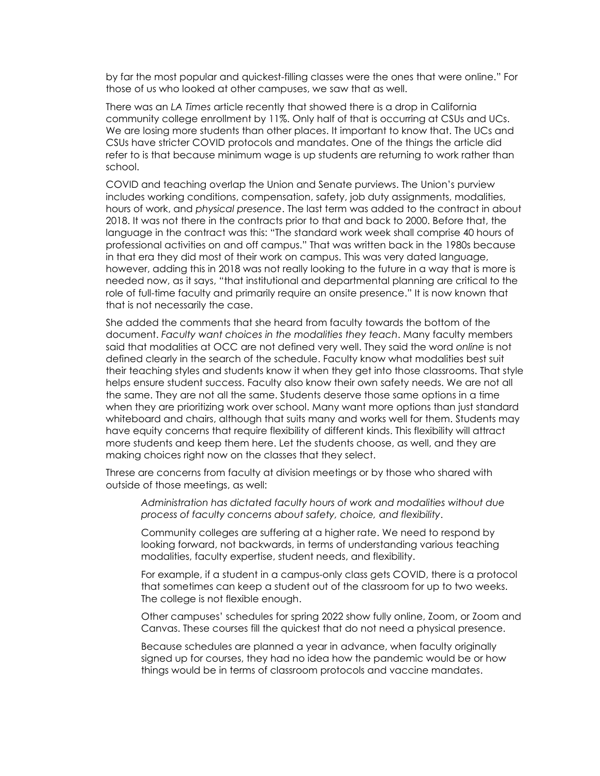by far the most popular and quickest-filling classes were the ones that were online." For those of us who looked at other campuses, we saw that as well.

There was an *LA Times* article recently that showed there is a drop in California community college enrollment by 11%. Only half of that is occurring at CSUs and UCs. We are losing more students than other places. It important to know that. The UCs and CSUs have stricter COVID protocols and mandates. One of the things the article did refer to is that because minimum wage is up students are returning to work rather than school.

COVID and teaching overlap the Union and Senate purviews. The Union's purview includes working conditions, compensation, safety, job duty assignments, modalities, hours of work, and *physical presence*. The last term was added to the contract in about 2018. It was not there in the contracts prior to that and back to 2000. Before that, the language in the contract was this: "The standard work week shall comprise 40 hours of professional activities on and off campus." That was written back in the 1980s because in that era they did most of their work on campus. This was very dated language, however, adding this in 2018 was not really looking to the future in a way that is more is needed now, as it says, "that institutional and departmental planning are critical to the role of full-time faculty and primarily require an onsite presence." It is now known that that is not necessarily the case.

She added the comments that she heard from faculty towards the bottom of the document. *Faculty want choices in the modalities they teach*. Many faculty members said that modalities at OCC are not defined very well. They said the word *online* is not defined clearly in the search of the schedule. Faculty know what modalities best suit their teaching styles and students know it when they get into those classrooms. That style helps ensure student success. Faculty also know their own safety needs. We are not all the same. They are not all the same. Students deserve those same options in a time when they are prioritizing work over school. Many want more options than just standard whiteboard and chairs, although that suits many and works well for them. Students may have equity concerns that require flexibility of different kinds. This flexibility will attract more students and keep them here. Let the students choose, as well, and they are making choices right now on the classes that they select.

Threse are concerns from faculty at division meetings or by those who shared with outside of those meetings, as well:

*Administration has dictated faculty hours of work and modalities without due process of faculty concerns about safety, choice, and flexibility*.

Community colleges are suffering at a higher rate. We need to respond by looking forward, not backwards, in terms of understanding various teaching modalities, faculty expertise, student needs, and flexibility.

For example, if a student in a campus-only class gets COVID, there is a protocol that sometimes can keep a student out of the classroom for up to two weeks. The college is not flexible enough.

Other campuses' schedules for spring 2022 show fully online, Zoom, or Zoom and Canvas. These courses fill the quickest that do not need a physical presence.

Because schedules are planned a year in advance, when faculty originally signed up for courses, they had no idea how the pandemic would be or how things would be in terms of classroom protocols and vaccine mandates.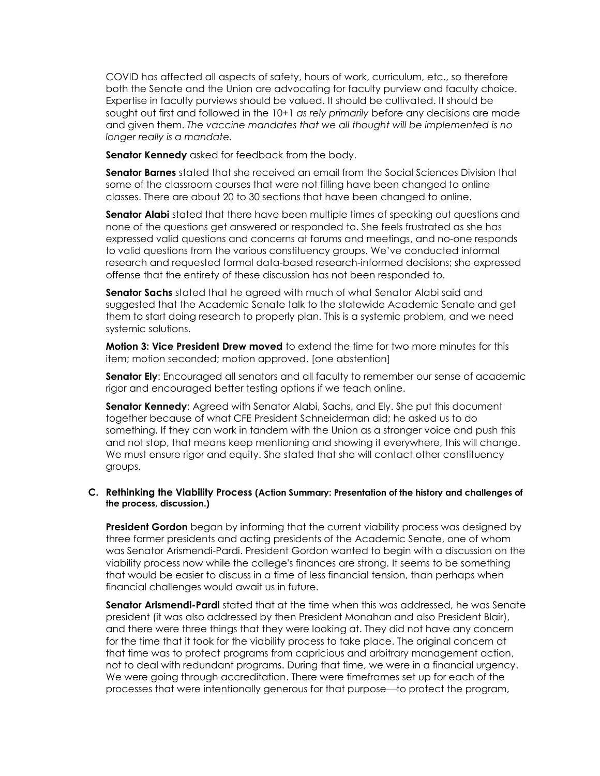COVID has affected all aspects of safety, hours of work, curriculum, etc., so therefore both the Senate and the Union are advocating for faculty purview and faculty choice. Expertise in faculty purviews should be valued. It should be cultivated. It should be sought out first and followed in the 10+1 *as rely primarily* before any decisions are made and given them. *The vaccine mandates that we all thought will be implemented is no longer really is a mandate.*

**Senator Kennedy** asked for feedback from the body.

**Senator Barnes** stated that she received an email from the Social Sciences Division that some of the classroom courses that were not filling have been changed to online classes. There are about 20 to 30 sections that have been changed to online.

**Senator Alabi** stated that there have been multiple times of speaking out questions and none of the questions get answered or responded to. She feels frustrated as she has expressed valid questions and concerns at forums and meetings, and no-one responds to valid questions from the various constituency groups. We've conducted informal research and requested formal data-based research-informed decisions; she expressed offense that the entirety of these discussion has not been responded to.

**Senator Sachs** stated that he agreed with much of what Senator Alabi said and suggested that the Academic Senate talk to the statewide Academic Senate and get them to start doing research to properly plan. This is a systemic problem, and we need systemic solutions.

**Motion 3: Vice President Drew moved** to extend the time for two more minutes for this item; motion seconded; motion approved. [one abstention]

**Senator Ely**: Encouraged all senators and all faculty to remember our sense of academic rigor and encouraged better testing options if we teach online.

**Senator Kennedy**: Agreed with Senator Alabi, Sachs, and Ely. She put this document together because of what CFE President Schneiderman did; he asked us to do something. If they can work in tandem with the Union as a stronger voice and push this and not stop, that means keep mentioning and showing it everywhere, this will change. We must ensure rigor and equity. She stated that she will contact other constituency groups.

#### **C. Rethinking the Viability Process (Action Summary: Presentation of the history and challenges of the process, discussion.)**

**President Gordon** began by informing that the current viability process was designed by three former presidents and acting presidents of the Academic Senate, one of whom was Senator Arismendi-Pardi. President Gordon wanted to begin with a discussion on the viability process now while the college's finances are strong. It seems to be something that would be easier to discuss in a time of less financial tension, than perhaps when financial challenges would await us in future.

**Senator Arismendi-Pardi** stated that at the time when this was addressed, he was Senate president (it was also addressed by then President Monahan and also President Blair), and there were three things that they were looking at. They did not have any concern for the time that it took for the viability process to take place. The original concern at that time was to protect programs from capricious and arbitrary management action, not to deal with redundant programs. During that time, we were in a financial urgency. We were going through accreditation. There were timeframes set up for each of the processes that were intentionally generous for that purpose—to protect the program,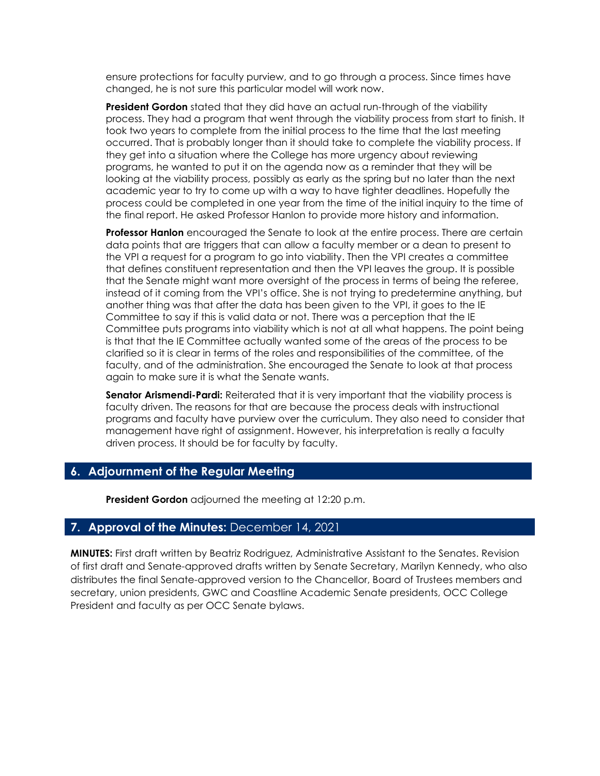ensure protections for faculty purview, and to go through a process. Since times have changed, he is not sure this particular model will work now.

**President Gordon** stated that they did have an actual run-through of the viability process. They had a program that went through the viability process from start to finish. It took two years to complete from the initial process to the time that the last meeting occurred. That is probably longer than it should take to complete the viability process. If they get into a situation where the College has more urgency about reviewing programs, he wanted to put it on the agenda now as a reminder that they will be looking at the viability process, possibly as early as the spring but no later than the next academic year to try to come up with a way to have tighter deadlines. Hopefully the process could be completed in one year from the time of the initial inquiry to the time of the final report. He asked Professor Hanlon to provide more history and information.

**Professor Hanlon** encouraged the Senate to look at the entire process. There are certain data points that are triggers that can allow a faculty member or a dean to present to the VPI a request for a program to go into viability. Then the VPI creates a committee that defines constituent representation and then the VPI leaves the group. It is possible that the Senate might want more oversight of the process in terms of being the referee, instead of it coming from the VPI's office. She is not trying to predetermine anything, but another thing was that after the data has been given to the VPI, it goes to the IE Committee to say if this is valid data or not. There was a perception that the IE Committee puts programs into viability which is not at all what happens. The point being is that that the IE Committee actually wanted some of the areas of the process to be clarified so it is clear in terms of the roles and responsibilities of the committee, of the faculty, and of the administration. She encouraged the Senate to look at that process again to make sure it is what the Senate wants.

**Senator Arismendi-Pardi:** Reiterated that it is very important that the viability process is faculty driven. The reasons for that are because the process deals with instructional programs and faculty have purview over the curriculum. They also need to consider that management have right of assignment. However, his interpretation is really a faculty driven process. It should be for faculty by faculty.

# **6. Adjournment of the Regular Meeting**

**President Gordon** adjourned the meeting at 12:20 p.m.

# **7. Approval of the Minutes:** December 14, 2021

**MINUTES:** First draft written by Beatriz Rodriguez, Administrative Assistant to the Senates. Revision of first draft and Senate-approved drafts written by Senate Secretary, Marilyn Kennedy, who also distributes the final Senate-approved version to the Chancellor, Board of Trustees members and secretary, union presidents, GWC and Coastline Academic Senate presidents, OCC College President and faculty as per OCC Senate bylaws.